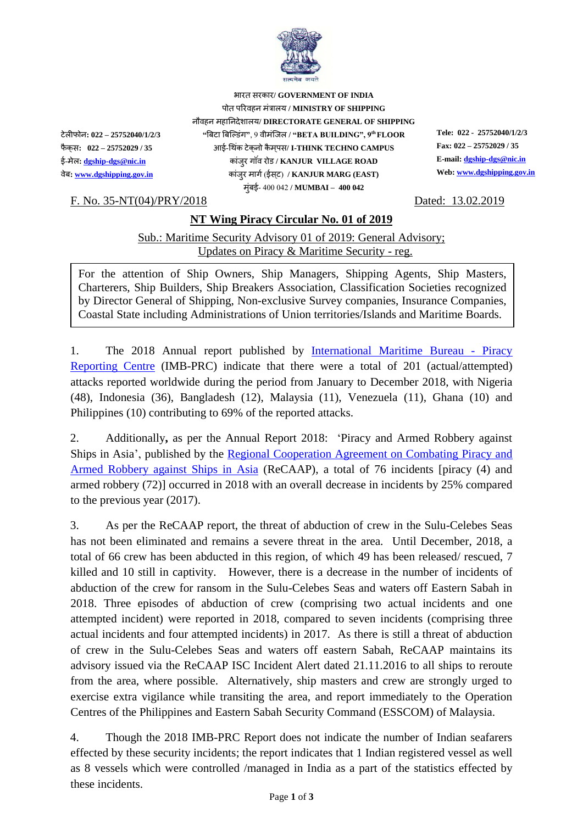

भारत सरकार**/ GOVERNMENT OF INDIA** पोत पररवहन मंत्रालय **/ MINISTRY OF SHIPPING** नौवहन महाननदेशालय**/ DIRECTORATE GENERAL OF SHIPPING** टेलीफोन**: 022 – 25752040/1/2/3 "**बिटा बिल्डंग**"**, 9 वीमंलिल **/ "BETA BUILDING", 9th FLOOR Tele: 022 - 25752040/1/2/3** फैक स**: 022 – 25752029 / 35** आई-थ कं टेक नो कैमपस **/ I-THINK TECHNO CAMPUS Fax: 022 – 25752029 / 35**  ई-मेल**[: dgship-dgs@nic.in](mailto:dgship-dgs@nic.in)** कांिरु ग वं रोड **/ KANJUR VILLAGE ROAD E-mail[: dgship-dgs@nic.in](mailto:dgship-dgs@nic.in)** वेि**[: www.dgshipping.gov.in](http://www.dgshipping.gov.in/)** कांिरु मागग(ईसट ) **/ KANJUR MARG (EAST) Web: [www.dgshipping.gov.in](http://www.dgshipping.gov.in/)** मुंिई- 400 042 **/ MUMBAI – 400 042**

F. No. 35-NT(04)/PRY/2018 Dated: 13.02.2019

## **NT Wing Piracy Circular No. 01 of 2019**

Sub.: Maritime Security Advisory 01 of 2019: General Advisory; Updates on Piracy & Maritime Security - reg.

For the attention of Ship Owners, Ship Managers, Shipping Agents, Ship Masters, Charterers, Ship Builders, Ship Breakers Association, Classification Societies recognized by Director General of Shipping, Non-exclusive Survey companies, Insurance Companies, Coastal State including Administrations of Union territories/Islands and Maritime Boards.

1. The 2018 Annual report published by [International Maritime Bureau -](https://www.icc-ccs.org/piracy-reporting-centre) Piracy [Reporting Centre](https://www.icc-ccs.org/piracy-reporting-centre) (IMB-PRC) indicate that there were a total of 201 (actual/attempted) attacks reported worldwide during the period from January to December 2018, with Nigeria (48), Indonesia (36), Bangladesh (12), Malaysia (11), Venezuela (11), Ghana (10) and Philippines (10) contributing to 69% of the reported attacks.

2. Additionally**,** as per the Annual Report 2018: 'Piracy and Armed Robbery against Ships in Asia', published by the Regional [Cooperation Agreement on Combating Piracy and](http://www.recaap.org/reports)  [Armed Robbery against Ships in Asia](http://www.recaap.org/reports) (ReCAAP), a total of 76 incidents [piracy (4) and armed robbery (72)] occurred in 2018 with an overall decrease in incidents by 25% compared to the previous year (2017).

3. As per the ReCAAP report, the threat of abduction of crew in the Sulu-Celebes Seas has not been eliminated and remains a severe threat in the area. Until December, 2018, a total of 66 crew has been abducted in this region, of which 49 has been released/ rescued, 7 killed and 10 still in captivity. However, there is a decrease in the number of incidents of abduction of the crew for ransom in the Sulu-Celebes Seas and waters off Eastern Sabah in 2018. Three episodes of abduction of crew (comprising two actual incidents and one attempted incident) were reported in 2018, compared to seven incidents (comprising three actual incidents and four attempted incidents) in 2017. As there is still a threat of abduction of crew in the Sulu-Celebes Seas and waters off eastern Sabah, ReCAAP maintains its advisory issued via the ReCAAP ISC Incident Alert dated 21.11.2016 to all ships to reroute from the area, where possible. Alternatively, ship masters and crew are strongly urged to exercise extra vigilance while transiting the area, and report immediately to the Operation Centres of the Philippines and Eastern Sabah Security Command (ESSCOM) of Malaysia.

4. Though the 2018 IMB-PRC Report does not indicate the number of Indian seafarers effected by these security incidents; the report indicates that 1 Indian registered vessel as well as 8 vessels which were controlled /managed in India as a part of the statistics effected by these incidents.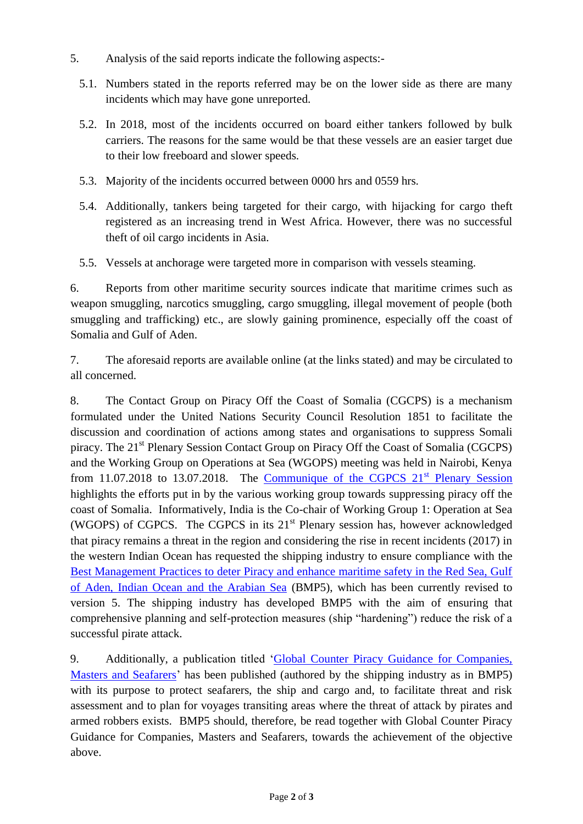- 5. Analysis of the said reports indicate the following aspects:-
	- 5.1. Numbers stated in the reports referred may be on the lower side as there are many incidents which may have gone unreported.
	- 5.2. In 2018, most of the incidents occurred on board either tankers followed by bulk carriers. The reasons for the same would be that these vessels are an easier target due to their low freeboard and slower speeds.
	- 5.3. Majority of the incidents occurred between 0000 hrs and 0559 hrs.
	- 5.4. Additionally, tankers being targeted for their cargo, with hijacking for cargo theft registered as an increasing trend in West Africa. However, there was no successful theft of oil cargo incidents in Asia.
	- 5.5. Vessels at anchorage were targeted more in comparison with vessels steaming.

6. Reports from other maritime security sources indicate that maritime crimes such as weapon smuggling, narcotics smuggling, cargo smuggling, illegal movement of people (both smuggling and trafficking) etc., are slowly gaining prominence, especially off the coast of Somalia and Gulf of Aden.

7. The aforesaid reports are available online (at the links stated) and may be circulated to all concerned.

8. The Contact Group on Piracy Off the Coast of Somalia (CGCPS) is a mechanism formulated under the United Nations Security Council Resolution 1851 to facilitate the discussion and coordination of actions among states and organisations to suppress Somali piracy. The 21<sup>st</sup> Plenary Session Contact Group on Piracy Off the Coast of Somalia (CGCPS) and the Working Group on Operations at Sea (WGOPS) meeting was held in Nairobi, Kenya from 11.07.2018 to 13.07.2018. The Communique of the CGPCS  $21<sup>st</sup>$  Plenary Session highlights the efforts put in by the various working group towards suppressing piracy off the coast of Somalia. Informatively, India is the Co-chair of Working Group 1: Operation at Sea (WGOPS) of CGPCS. The CGPCS in its  $21<sup>st</sup>$  Plenary session has, however acknowledged that piracy remains a threat in the region and considering the rise in recent incidents (2017) in the western Indian Ocean has requested the shipping industry to ensure compliance with the [Best Management Practices to deter Piracy and enhance maritime safety in the Red Sea, Gulf](http://www.imo.org/en/OurWork/Security/PiracyArmedRobbery/Documents/BMP5%20small.pdf)  [of Aden, Indian Ocean and the Arabian Sea](http://www.imo.org/en/OurWork/Security/PiracyArmedRobbery/Documents/BMP5%20small.pdf) (BMP5), which has been currently revised to version 5. The shipping industry has developed BMP5 with the aim of ensuring that comprehensive planning and self-protection measures (ship "hardening") reduce the risk of a successful pirate attack.

9. Additionally, a publication titled ['Global Counter Piracy Guidance for Companies,](https://www.ocimf.org/media/91171/Global-Counter-Piracy-Guidance-For-Companies-Masters-and-Seafarers.pdf)  [Masters and Seafarers'](https://www.ocimf.org/media/91171/Global-Counter-Piracy-Guidance-For-Companies-Masters-and-Seafarers.pdf) has been published (authored by the shipping industry as in BMP5) with its purpose to protect seafarers, the ship and cargo and, to facilitate threat and risk assessment and to plan for voyages transiting areas where the threat of attack by pirates and armed robbers exists. BMP5 should, therefore, be read together with Global Counter Piracy Guidance for Companies, Masters and Seafarers, towards the achievement of the objective above.